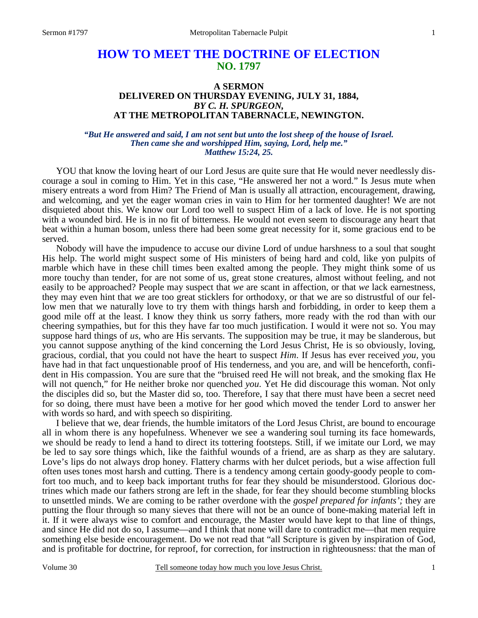# **HOW TO MEET THE DOCTRINE OF ELECTION NO. 1797**

# **A SERMON DELIVERED ON THURSDAY EVENING, JULY 31, 1884,**  *BY C. H. SPURGEON,*  **AT THE METROPOLITAN TABERNACLE, NEWINGTON.**

#### *"But He answered and said, I am not sent but unto the lost sheep of the house of Israel. Then came she and worshipped Him, saying, Lord, help me." Matthew 15:24, 25.*

YOU that know the loving heart of our Lord Jesus are quite sure that He would never needlessly discourage a soul in coming to Him. Yet in this case, "He answered her not a word." Is Jesus mute when misery entreats a word from Him? The Friend of Man is usually all attraction, encouragement, drawing, and welcoming, and yet the eager woman cries in vain to Him for her tormented daughter! We are not disquieted about this. We know our Lord too well to suspect Him of a lack of love. He is not sporting with a wounded bird. He is in no fit of bitterness. He would not even seem to discourage any heart that beat within a human bosom, unless there had been some great necessity for it, some gracious end to be served.

 Nobody will have the impudence to accuse our divine Lord of undue harshness to a soul that sought His help. The world might suspect some of His ministers of being hard and cold, like yon pulpits of marble which have in these chill times been exalted among the people. They might think some of us more touchy than tender, for are not some of us, great stone creatures, almost without feeling, and not easily to be approached? People may suspect that *we* are scant in affection, or that *we* lack earnestness, they may even hint that *we* are too great sticklers for orthodoxy, or that we are so distrustful of our fellow men that we naturally love to try them with things harsh and forbidding, in order to keep them a good mile off at the least. I know they think us sorry fathers, more ready with the rod than with our cheering sympathies, but for this they have far too much justification. I would it were not so. You may suppose hard things of *us,* who are His servants. The supposition may be true, it may be slanderous, but you cannot suppose anything of the kind concerning the Lord Jesus Christ, He is so obviously, loving, gracious, cordial, that you could not have the heart to suspect *Him*. If Jesus has ever received *you,* you have had in that fact unquestionable proof of His tenderness, and you are, and will be henceforth, confident in His compassion. You are sure that the "bruised reed He will not break, and the smoking flax He will not quench," for He neither broke nor quenched *you*. Yet He did discourage this woman. Not only the disciples did so, but the Master did so, too. Therefore, I say that there must have been a secret need for so doing, there must have been a motive for her good which moved the tender Lord to answer her with words so hard, and with speech so dispiriting.

 I believe that we, dear friends, the humble imitators of the Lord Jesus Christ, are bound to encourage all in whom there is any hopefulness. Whenever we see a wandering soul turning its face homewards, we should be ready to lend a hand to direct its tottering footsteps. Still, if we imitate our Lord, we may be led to say sore things which, like the faithful wounds of a friend, are as sharp as they are salutary. Love's lips do not always drop honey. Flattery charms with her dulcet periods, but a wise affection full often uses tones most harsh and cutting. There is a tendency among certain goody-goody people to comfort too much, and to keep back important truths for fear they should be misunderstood. Glorious doctrines which made our fathers strong are left in the shade, for fear they should become stumbling blocks to unsettled minds. We are coming to be rather overdone with the *gospel prepared for infants';* they are putting the flour through so many sieves that there will not be an ounce of bone-making material left in it. If it were always wise to comfort and encourage, the Master would have kept to that line of things, and since He did not do so, I assume—and I think that none will dare to contradict me—that men require something else beside encouragement. Do we not read that "all Scripture is given by inspiration of God, and is profitable for doctrine, for reproof, for correction, for instruction in righteousness: that the man of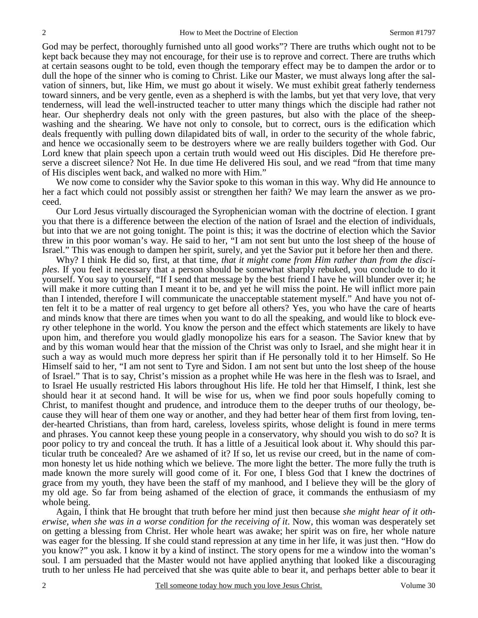God may be perfect, thoroughly furnished unto all good works"? There are truths which ought not to be kept back because they may not encourage, for their use is to reprove and correct. There are truths which at certain seasons ought to be told, even though the temporary effect may be to dampen the ardor or to dull the hope of the sinner who is coming to Christ. Like our Master, we must always long after the salvation of sinners, but, like Him, we must go about it wisely. We must exhibit great fatherly tenderness toward sinners, and be very gentle, even as a shepherd is with the lambs, but yet that very love, that very tenderness, will lead the well-instructed teacher to utter many things which the disciple had rather not hear. Our shepherdry deals not only with the green pastures, but also with the place of the sheepwashing and the shearing. We have not only to console, but to correct, ours is the edification which deals frequently with pulling down dilapidated bits of wall, in order to the security of the whole fabric, and hence we occasionally seem to be destroyers where we are really builders together with God. Our Lord knew that plain speech upon a certain truth would weed out His disciples. Did He therefore preserve a discreet silence? Not He. In due time He delivered His soul, and we read "from that time many of His disciples went back, and walked no more with Him."

 We now come to consider why the Savior spoke to this woman in this way. Why did He announce to her a fact which could not possibly assist or strengthen her faith? We may learn the answer as we proceed.

 Our Lord Jesus virtually discouraged the Syrophenician woman with the doctrine of election. I grant you that there is a difference between the election of the nation of Israel and the election of individuals, but into that we are not going tonight. The point is this; it was the doctrine of election which the Savior threw in this poor woman's way. He said to her, "I am not sent but unto the lost sheep of the house of Israel." This was enough to dampen her spirit, surely, and yet the Savior put it before her then and there.

 Why? I think He did so, first, at that time, *that it might come from Him rather than from the disciples*. If you feel it necessary that a person should be somewhat sharply rebuked, you conclude to do it yourself. You say to yourself, "If I send that message by the best friend I have he will blunder over it; he will make it more cutting than I meant it to be, and yet he will miss the point. He will inflict more pain than I intended, therefore I will communicate the unacceptable statement myself." And have you not often felt it to be a matter of real urgency to get before all others? Yes, you who have the care of hearts and minds know that there are times when you want to do all the speaking, and would like to block every other telephone in the world. You know the person and the effect which statements are likely to have upon him, and therefore you would gladly monopolize his ears for a season. The Savior knew that by and by this woman would hear that the mission of the Christ was only to Israel, and she might hear it in such a way as would much more depress her spirit than if He personally told it to her Himself. So He Himself said to her, "I am not sent to Tyre and Sidon. I am not sent but unto the lost sheep of the house of Israel." That is to say, Christ's mission as a prophet while He was here in the flesh was to Israel, and to Israel He usually restricted His labors throughout His life. He told her that Himself, I think, lest she should hear it at second hand. It will be wise for us, when we find poor souls hopefully coming to Christ, to manifest thought and prudence, and introduce them to the deeper truths of our theology, because they will hear of them one way or another, and they had better hear of them first from loving, tender-hearted Christians, than from hard, careless, loveless spirits, whose delight is found in mere terms and phrases. You cannot keep these young people in a conservatory, why should you wish to do so? It is poor policy to try and conceal the truth. It has a little of a Jesuitical look about it. Why should this particular truth be concealed? Are we ashamed of it? If so, let us revise our creed, but in the name of common honesty let us hide nothing which we believe. The more light the better. The more fully the truth is made known the more surely will good come of it. For one, I bless God that I knew the doctrines of grace from my youth, they have been the staff of my manhood, and I believe they will be the glory of my old age. So far from being ashamed of the election of grace, it commands the enthusiasm of my whole being.

 Again, I think that He brought that truth before her mind just then because *she might hear of it otherwise, when she was in a worse condition for the receiving of it*. Now, this woman was desperately set on getting a blessing from Christ. Her whole heart was awake; her spirit was on fire, her whole nature was eager for the blessing. If she could stand repression at any time in her life, it was just then. "How do you know?" you ask. I know it by a kind of instinct. The story opens for me a window into the woman's soul. I am persuaded that the Master would not have applied anything that looked like a discouraging truth to her unless He had perceived that she was quite able to bear it, and perhaps better able to bear it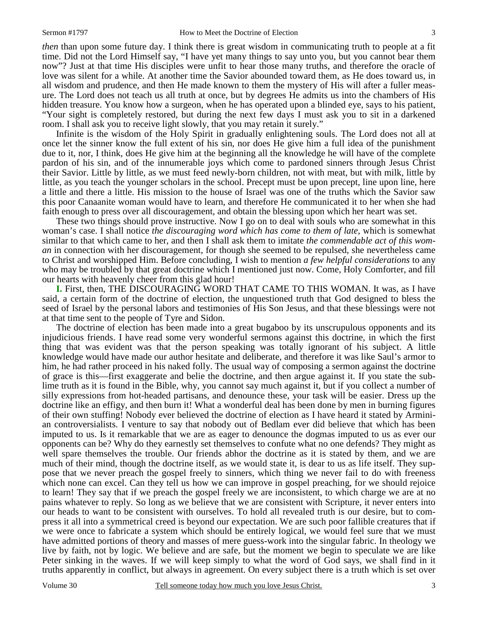*then* than upon some future day. I think there is great wisdom in communicating truth to people at a fit time. Did not the Lord Himself say, "I have yet many things to say unto you, but you cannot bear them now"? Just at that time His disciples were unfit to hear those many truths, and therefore the oracle of love was silent for a while. At another time the Savior abounded toward them, as He does toward us, in all wisdom and prudence, and then He made known to them the mystery of His will after a fuller measure. The Lord does not teach us all truth at once, but by degrees He admits us into the chambers of His hidden treasure. You know how a surgeon, when he has operated upon a blinded eye, says to his patient, "Your sight is completely restored, but during the next few days I must ask you to sit in a darkened room. I shall ask you to receive light slowly, that you may retain it surely."

 Infinite is the wisdom of the Holy Spirit in gradually enlightening souls. The Lord does not all at once let the sinner know the full extent of his sin, nor does He give him a full idea of the punishment due to it, nor, I think, does He give him at the beginning all the knowledge he will have of the complete pardon of his sin, and of the innumerable joys which come to pardoned sinners through Jesus Christ their Savior. Little by little, as we must feed newly-born children, not with meat, but with milk, little by little, as you teach the younger scholars in the school. Precept must be upon precept, line upon line, here a little and there a little. His mission to the house of Israel was one of the truths which the Savior saw this poor Canaanite woman would have to learn, and therefore He communicated it to her when she had faith enough to press over all discouragement, and obtain the blessing upon which her heart was set.

 These two things should prove instructive. Now I go on to deal with souls who are somewhat in this woman's case. I shall notice *the discouraging word which has come to them of late,* which is somewhat similar to that which came to her, and then I shall ask them to imitate *the commendable act of this woman* in connection with her discouragement, for though she seemed to be repulsed, she nevertheless came to Christ and worshipped Him. Before concluding, I wish to mention *a few helpful considerations* to any who may be troubled by that great doctrine which I mentioned just now. Come, Holy Comforter, and fill our hearts with heavenly cheer from this glad hour!

**I.** First, then, THE DISCOURAGING WORD THAT CAME TO THIS WOMAN. It was, as I have said, a certain form of the doctrine of election, the unquestioned truth that God designed to bless the seed of Israel by the personal labors and testimonies of His Son Jesus, and that these blessings were not at that time sent to the people of Tyre and Sidon.

 The doctrine of election has been made into a great bugaboo by its unscrupulous opponents and its injudicious friends. I have read some very wonderful sermons against this doctrine, in which the first thing that was evident was that the person speaking was totally ignorant of his subject. A little knowledge would have made our author hesitate and deliberate, and therefore it was like Saul's armor to him, he had rather proceed in his naked folly. The usual way of composing a sermon against the doctrine of grace is this—first exaggerate and belie the doctrine, and then argue against it. If you state the sublime truth as it is found in the Bible, why, you cannot say much against it, but if you collect a number of silly expressions from hot-headed partisans, and denounce these, your task will be easier. Dress up the doctrine like an effigy, and then burn it! What a wonderful deal has been done by men in burning figures of their own stuffing! Nobody ever believed the doctrine of election as I have heard it stated by Arminian controversialists. I venture to say that nobody out of Bedlam ever did believe that which has been imputed to us. Is it remarkable that we are as eager to denounce the dogmas imputed to us as ever our opponents can be? Why do they earnestly set themselves to confute what no one defends? They might as well spare themselves the trouble. Our friends abhor the doctrine as it is stated by them, and we are much of their mind, though the doctrine itself, as we would state it, is dear to us as life itself. They suppose that we never preach the gospel freely to sinners, which thing we never fail to do with freeness which none can excel. Can they tell us how we can improve in gospel preaching, for we should rejoice to learn! They say that if we preach the gospel freely we are inconsistent, to which charge we are at no pains whatever to reply. So long as we believe that we are consistent with Scripture, it never enters into our heads to want to be consistent with ourselves. To hold all revealed truth is our desire, but to compress it all into a symmetrical creed is beyond our expectation. We are such poor fallible creatures that if we were once to fabricate a system which should be entirely logical, we would feel sure that we must have admitted portions of theory and masses of mere guess-work into the singular fabric. In theology we live by faith, not by logic. We believe and are safe, but the moment we begin to speculate we are like Peter sinking in the waves. If we will keep simply to what the word of God says, we shall find in it truths apparently in conflict, but always in agreement. On every subject there is a truth which is set over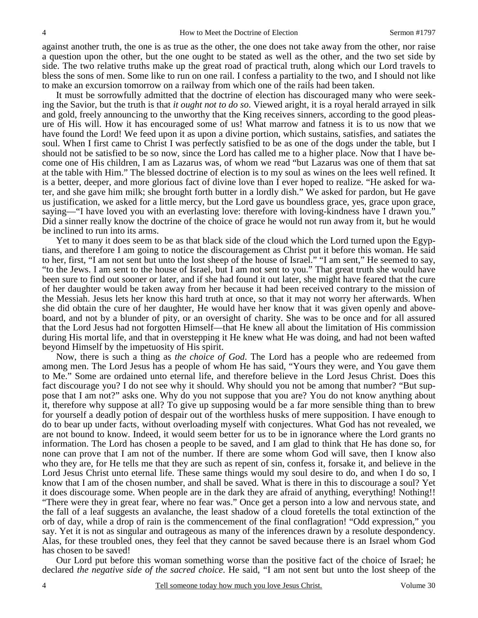against another truth, the one is as true as the other, the one does not take away from the other, nor raise a question upon the other, but the one ought to be stated as well as the other, and the two set side by side. The two relative truths make up the great road of practical truth, along which our Lord travels to bless the sons of men. Some like to run on one rail. I confess a partiality to the two, and I should not like to make an excursion tomorrow on a railway from which one of the rails had been taken.

 It must be sorrowfully admitted that the doctrine of election has discouraged many who were seeking the Savior, but the truth is that *it ought not to do so*. Viewed aright, it is a royal herald arrayed in silk and gold, freely announcing to the unworthy that the King receives sinners, according to the good pleasure of His will. How it has encouraged some of us! What marrow and fatness it is to us now that we have found the Lord! We feed upon it as upon a divine portion, which sustains, satisfies, and satiates the soul. When I first came to Christ I was perfectly satisfied to be as one of the dogs under the table, but I should not be satisfied to be so now, since the Lord has called me to a higher place. Now that I have become one of His children, I am as Lazarus was, of whom we read "but Lazarus was one of them that sat at the table with Him." The blessed doctrine of election is to my soul as wines on the lees well refined. It is a better, deeper, and more glorious fact of divine love than I ever hoped to realize. "He asked for water, and she gave him milk; she brought forth butter in a lordly dish." We asked for pardon, but He gave us justification, we asked for a little mercy, but the Lord gave us boundless grace, yes, grace upon grace, saying—"I have loved you with an everlasting love: therefore with loving-kindness have I drawn you." Did a sinner really know the doctrine of the choice of grace he would not run away from it, but he would be inclined to run into its arms.

 Yet to many it does seem to be as that black side of the cloud which the Lord turned upon the Egyptians, and therefore I am going to notice the discouragement as Christ put it before this woman. He said to her, first, "I am not sent but unto the lost sheep of the house of Israel." "I am sent," He seemed to say, "to the Jews. I am sent to the house of Israel, but I am not sent to you." That great truth she would have been sure to find out sooner or later, and if she had found it out later, she might have feared that the cure of her daughter would be taken away from her because it had been received contrary to the mission of the Messiah. Jesus lets her know this hard truth at once, so that it may not worry her afterwards. When she did obtain the cure of her daughter, He would have her know that it was given openly and aboveboard, and not by a blunder of pity, or an oversight of charity. She was to be once and for all assured that the Lord Jesus had not forgotten Himself—that He knew all about the limitation of His commission during His mortal life, and that in overstepping it He knew what He was doing, and had not been wafted beyond Himself by the impetuosity of His spirit.

 Now, there is such a thing as *the choice of God*. The Lord has a people who are redeemed from among men. The Lord Jesus has a people of whom He has said, "Yours they were, and You gave them to Me." Some are ordained unto eternal life, and therefore believe in the Lord Jesus Christ. Does this fact discourage you? I do not see why it should. Why should you not be among that number? "But suppose that I am not?" asks one. Why do you not suppose that you are? You do not know anything about it, therefore why suppose at all? To give up supposing would be a far more sensible thing than to brew for yourself a deadly potion of despair out of the worthless husks of mere supposition. I have enough to do to bear up under fa*c*ts, without overloading myself with conjectures. What God has not revealed, we are not bound to know. Indeed, it would seem better for us to be in ignorance where the Lord grants no information. The Lord has chosen a people to be saved, and I am glad to think that He has done so, for none can prove that I am not of the number. If there are some whom God will save, then I know also who they are, for He tells me that they are such as repent of sin, confess it, forsake it, and believe in the Lord Jesus Christ unto eternal life. These same things would my soul desire to do, and when I do so, I know that I am of the chosen number, and shall be saved. What is there in this to discourage a soul? Yet it does discourage some. When people are in the dark they are afraid of anything, everything! Nothing!! "There were they in great fear, where no fear was." Once get a person into a low and nervous state, and the fall of a leaf suggests an avalanche, the least shadow of a cloud foretells the total extinction of the orb of day, while a drop of rain is the commencement of the final conflagration! "Odd expression," you say. Yet it is not as singular and outrageous as many of the inferences drawn by a resolute despondency. Alas, for these troubled ones, they feel that they cannot be saved because there is an Israel whom God has chosen to be saved!

 Our Lord put before this woman something worse than the positive fact of the choice of Israel; he declared *the negative side of the sacred choice*. He said, "I am not sent but unto the lost sheep of the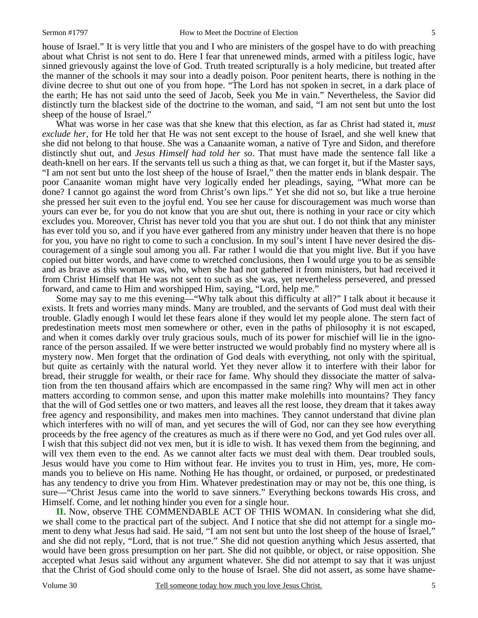house of Israel." It is very little that you and I who are ministers of the gospel have to do with preaching about what Christ is not sent to do. Here I fear that unrenewed minds, armed with a pitiless logic, have sinned grievously against the love of God. Truth treated scripturally is a holy medicine, but treated after the manner of the schools it may sour into a deadly poison. Poor penitent hearts, there is nothing in the divine decree to shut out one of you from hope. "The Lord has not spoken in secret, in a dark place of the earth; He has not said unto the seed of Jacob, Seek you Me in vain." Nevertheless, the Savior did distinctly turn the blackest side of the doctrine to the woman, and said, "I am not sent but unto the lost sheep of the house of Israel."

 What was worse in her case was that she knew that this election, as far as Christ had stated it, *must exclude her*, for He told her that He was not sent except to the house of Israel, and she well knew that she did not belong to that house. She was a Canaanite woman, a native of Tyre and Sidon, and therefore distinctly shut out, and *Jesus Himself had told her so*. That must have made the sentence fall like a death-knell on her ears. If the servants tell us such a thing as that, we can forget it, but if the Master says, "I am not sent but unto the lost sheep of the house of Israel," then the matter ends in blank despair. The poor Canaanite woman might have very logically ended her pleadings, saying, "What more can be done? I cannot go against the word from Christ's own lips." Yet she did not so, but like a true heroine she pressed her suit even to the joyful end. You see her cause for discouragement was much worse than yours can ever be, for you do not know that you are shut out, there is nothing in your race or city which excludes you. Moreover, Christ has never told you that you are shut out. I do not think that any minister has ever told you so, and if you have ever gathered from any ministry under heaven that there is no hope for you, you have no right to come to such a conclusion. In my soul's intent I have never desired the discouragement of a single soul among you all. Far rather I would die that you might live. But if you have copied out bitter words, and have come to wretched conclusions, then I would urge you to be as sensible and as brave as this woman was, who, when she had not gathered it from ministers, but had received it from Christ Himself that He was not sent to such as she was, yet nevertheless persevered, and pressed forward, and came to Him and worshipped Him, saying, "Lord, help me."

 Some may say to me this evening—"Why talk about this difficulty at all?" I talk about it because it exists. It frets and worries many minds. Many are troubled, and the servants of God must deal with their trouble. Gladly enough I would let these fears alone if they would let my people alone. The stern fact of predestination meets most men somewhere or other, even in the paths of philosophy it is not escaped, and when it comes darkly over truly gracious souls, much of its power for mischief will lie in the ignorance of the person assailed. If we were better instructed we would probably find no mystery where all is mystery now. Men forget that the ordination of God deals with everything, not only with the spiritual, but quite as certainly with the natural world. Yet they never allow it to interfere with their labor for bread, their struggle for wealth, or their race for fame. Why should they dissociate the matter of salvation from the ten thousand affairs which are encompassed in the same ring? Why will men act in other matters according to common sense, and upon this matter make molehills into mountains? They fancy that the will of God settles one or two matters, and leaves all the rest loose, they dream that it takes away free agency and responsibility, and makes men into machines. They cannot understand that divine plan which interferes with no will of man, and yet secures the will of God, nor can they see how everything proceeds by the free agency of the creatures as much as if there were no God, and yet God rules over all. I wish that this subject did not vex men, but it is idle to wish. It has vexed them from the beginning, and will vex them even to the end. As we cannot alter facts we must deal with them. Dear troubled souls, Jesus would have you come to Him without fear. He invites you to trust in Him, yes, more, He commands you to believe on His name. Nothing He has thought, or ordained, or purposed, or predestinated has any tendency to drive you from Him. Whatever predestination may or may not be, this one thing, is sure—"Christ Jesus came into the world to save sinners." Everything beckons towards His cross, and Himself. Come, and let nothing hinder you even for a single hour.

**II.** Now, observe THE COMMENDABLE ACT OF THIS WOMAN. In considering what she did, we shall come to the practical part of the subject. And I notice that she did not attempt for a single moment to deny what Jesus had said. He said, "I am not sent but unto the lost sheep of the house of Israel," and she did not reply, "Lord, that is not true." She did not question anything which Jesus asserted, that would have been gross presumption on her part. She did not quibble, or object, or raise opposition. She accepted what Jesus said without any argument whatever. She did not attempt to say that it was unjust that the Christ of God should come only to the house of Israel. She did not assert, as some have shame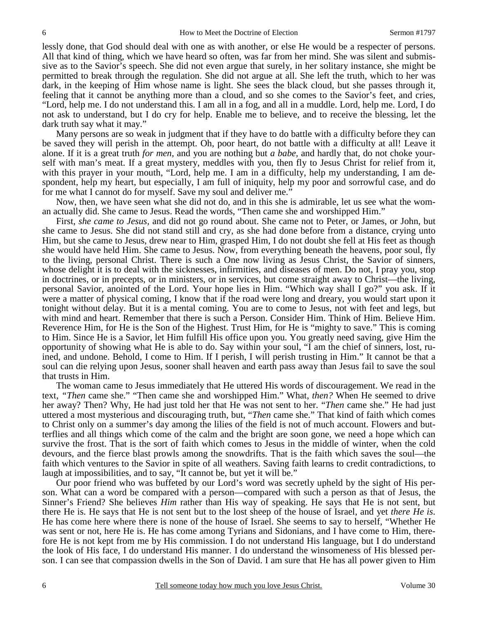lessly done, that God should deal with one as with another, or else He would be a respecter of persons. All that kind of thing, which we have heard so often, was far from her mind. She was silent and submissive as to the Savior's speech. She did not even argue that surely, in her solitary instance, she might be permitted to break through the regulation. She did not argue at all. She left the truth, which to her was dark, in the keeping of Him whose name is light. She sees the black cloud, but she passes through it, feeling that it cannot be anything more than a cloud, and so she comes to the Savior's feet, and cries, "Lord, help me. I do not understand this. I am all in a fog, and all in a muddle. Lord, help me. Lord, I do not ask to understand, but I do cry for help. Enable me to believe, and to receive the blessing, let the dark truth say what it may."

 Many persons are so weak in judgment that if they have to do battle with a difficulty before they can be saved they will perish in the attempt. Oh, poor heart, do not battle with a difficulty at all! Leave it alone. If it is a great truth *for men,* and you are nothing but *a babe,* and hardly that, do not choke yourself with man's meat. If a great mystery, meddles with you, then fly to Jesus Christ for relief from it, with this prayer in your mouth, "Lord, help me. I am in a difficulty, help my understanding, I am despondent, help my heart, but especially, I am full of iniquity, help my poor and sorrowful case, and do for me what I cannot do for myself. Save my soul and deliver me."

 Now, then, we have seen what she did not do, and in this she is admirable, let us see what the woman actually did. She came to Jesus. Read the words, "Then came she and worshipped Him."

 First, *she came to Jesus,* and did not go round about. She came not to Peter, or James, or John, but she came to Jesus. She did not stand still and cry, as she had done before from a distance, crying unto Him, but she came to Jesus, drew near to Him, grasped Him, I do not doubt she fell at His feet as though she would have held Him. She came to Jesus. Now, from everything beneath the heavens, poor soul, fly to the living, personal Christ. There is such a One now living as Jesus Christ, the Savior of sinners, whose delight it is to deal with the sicknesses, infirmities, and diseases of men. Do not, I pray you, stop in doctrines, or in precepts, or in ministers, or in services, but come straight away to Christ—the living, personal Savior, anointed of the Lord. Your hope lies in Him. "Which way shall I go?" you ask. If it were a matter of physical coming, I know that if the road were long and dreary, you would start upon it tonight without delay. But it is a mental coming. You are to come to Jesus, not with feet and legs, but with mind and heart. Remember that there is such a Person. Consider Him. Think of Him. Believe Him. Reverence Him, for He is the Son of the Highest. Trust Him, for He is "mighty to save." This is coming to Him. Since He is a Savior, let Him fulfill His office upon you. You greatly need saving, give Him the opportunity of showing what He is able to do. Say within your soul, "I am the chief of sinners, lost, ruined, and undone. Behold, I come to Him. If I perish, I will perish trusting in Him." It cannot be that a soul can die relying upon Jesus, sooner shall heaven and earth pass away than Jesus fail to save the soul that trusts in Him.

 The woman came to Jesus immediately that He uttered His words of discouragement. We read in the text, *"Then* came she." "Then came she and worshipped Him." What, *then?* When He seemed to drive her away? Then? Why, He had just told her that He was not sent to her. "*Then* came she." He had just uttered a most mysterious and discouraging truth, but, "*Then* came she." That kind of faith which comes to Christ only on a summer's day among the lilies of the field is not of much account. Flowers and butterflies and all things which come of the calm and the bright are soon gone, we need a hope which can survive the frost. That is the sort of faith which comes to Jesus in the middle of winter, when the cold devours, and the fierce blast prowls among the snowdrifts. That is the faith which saves the soul—the faith which ventures to the Savior in spite of all weathers. Saving faith learns to credit contradictions, to laugh at impossibilities, and to say, "It cannot be, but yet it will be."

 Our poor friend who was buffeted by our Lord's word was secretly upheld by the sight of His person. What can a word be compared with a person—compared with such a person as that of Jesus, the Sinner's Friend? She believes *Him* rather than His way of speaking. He says that He is not sent, but there He is. He says that He is not sent but to the lost sheep of the house of Israel, and yet *there He is*. He has come here where there is none of the house of Israel. She seems to say to herself, "Whether He was sent or not, here He is. He has come among Tyrians and Sidonians, and I have come to Him, therefore He is not kept from me by His commission. I do not understand His language, but I do understand the look of His face, I do understand His manner. I do understand the winsomeness of His blessed person. I can see that compassion dwells in the Son of David. I am sure that He has all power given to Him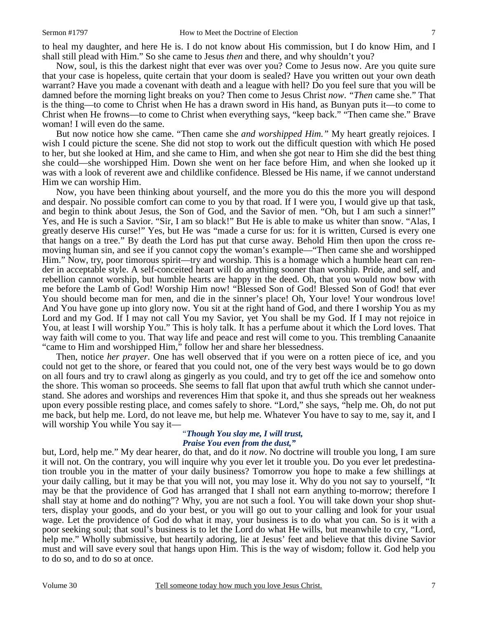Now, soul, is this the darkest night that ever was over you? Come to Jesus now. Are you quite sure that your case is hopeless, quite certain that your doom is sealed? Have you written out your own death warrant? Have you made a covenant with death and a league with hell? Do you feel sure that you will be damned before the morning light breaks on you? Then come to Jesus Christ *now*. *"Then* came she." That is the thing—to come to Christ when He has a drawn sword in His hand, as Bunyan puts it—to come to Christ when He frowns—to come to Christ when everything says, "keep back." "Then came she." Brave woman! I will even do the same.

 But now notice how she came. "Then came she *and worshipped Him."* My heart greatly rejoices. I wish I could picture the scene. She did not stop to work out the difficult question with which He posed to her, but she looked at Him, and she came to Him, and when she got near to Him she did the best thing she could—she worshipped Him. Down she went on her face before Him, and when she looked up it was with a look of reverent awe and childlike confidence. Blessed be His name, if we cannot understand Him we can worship Him.

 Now, you have been thinking about yourself, and the more you do this the more you will despond and despair. No possible comfort can come to you by that road. If I were you, I would give up that task, and begin to think about Jesus, the Son of God, and the Savior of men. "Oh, but I am such a sinner!" Yes, and He is such a Savior. "Sir, I am so black!" But He is able to make us whiter than snow. "Alas, I greatly deserve His curse!" Yes, but He was "made a curse for us: for it is written, Cursed is every one that hangs on a tree." By death the Lord has put that curse away. Behold Him then upon the cross removing human sin, and see if you cannot copy the woman's example—"Then came she and worshipped Him." Now, try, poor timorous spirit—try and worship. This is a homage which a humble heart can render in acceptable style. A self-conceited heart will do anything sooner than worship. Pride, and self, and rebellion cannot worship, but humble hearts are happy in the deed. Oh, that you would now bow with me before the Lamb of God! Worship Him now! "Blessed Son of God! Blessed Son of God! that ever You should become man for men, and die in the sinner's place! Oh, Your love! Your wondrous love! And You have gone up into glory now. You sit at the right hand of God, and there I worship You as my Lord and my God. If I may not call You my Savior, yet You shall be my God. If I may not rejoice in You, at least I will worship You." This is holy talk. It has a perfume about it which the Lord loves. That way faith will come to you. That way life and peace and rest will come to you. This trembling Canaanite "came to Him and worshipped Him," follow her and share her blessedness.

 Then, notice *her prayer*. One has well observed that if you were on a rotten piece of ice, and you could not get to the shore, or feared that you could not, one of the very best ways would be to go down on all fours and try to crawl along as gingerly as you could, and try to get off the ice and somehow onto the shore. This woman so proceeds. She seems to fall flat upon that awful truth which she cannot understand. She adores and worships and reverences Him that spoke it, and thus she spreads out her weakness upon every possible resting place, and comes safely to shore. "Lord," she says, "help me. Oh, do not put me back, but help me. Lord, do not leave me, but help me. Whatever You have to say to me, say it, and I will worship You while You say it—

### "*Though You slay me, I will trust, Praise You even from the dust,"*

but, Lord, help me." My dear hearer, do that, and do it *now*. No doctrine will trouble you long, I am sure it will not. On the contrary, you will inquire why you ever let it trouble you. Do you ever let predestination trouble you in the matter of your daily business? Tomorrow you hope to make a few shillings at your daily calling, but it may be that you will not, you may lose it. Why do you not say to yourself, "It may be that the providence of God has arranged that I shall not earn anything to-morrow; therefore I shall stay at home and do nothing"? Why, you are not such a fool. You will take down your shop shutters, display your goods, and do your best, or you will go out to your calling and look for your usual wage. Let the providence of God do what it may, your business is to do what you can. So is it with a poor seeking soul; that soul's business is to let the Lord do what He wills, but meanwhile to cry, "Lord, help me." Wholly submissive, but heartily adoring, lie at Jesus' feet and believe that this divine Savior must and will save every soul that hangs upon Him. This is the way of wisdom; follow it. God help you to do so, and to do so at once.